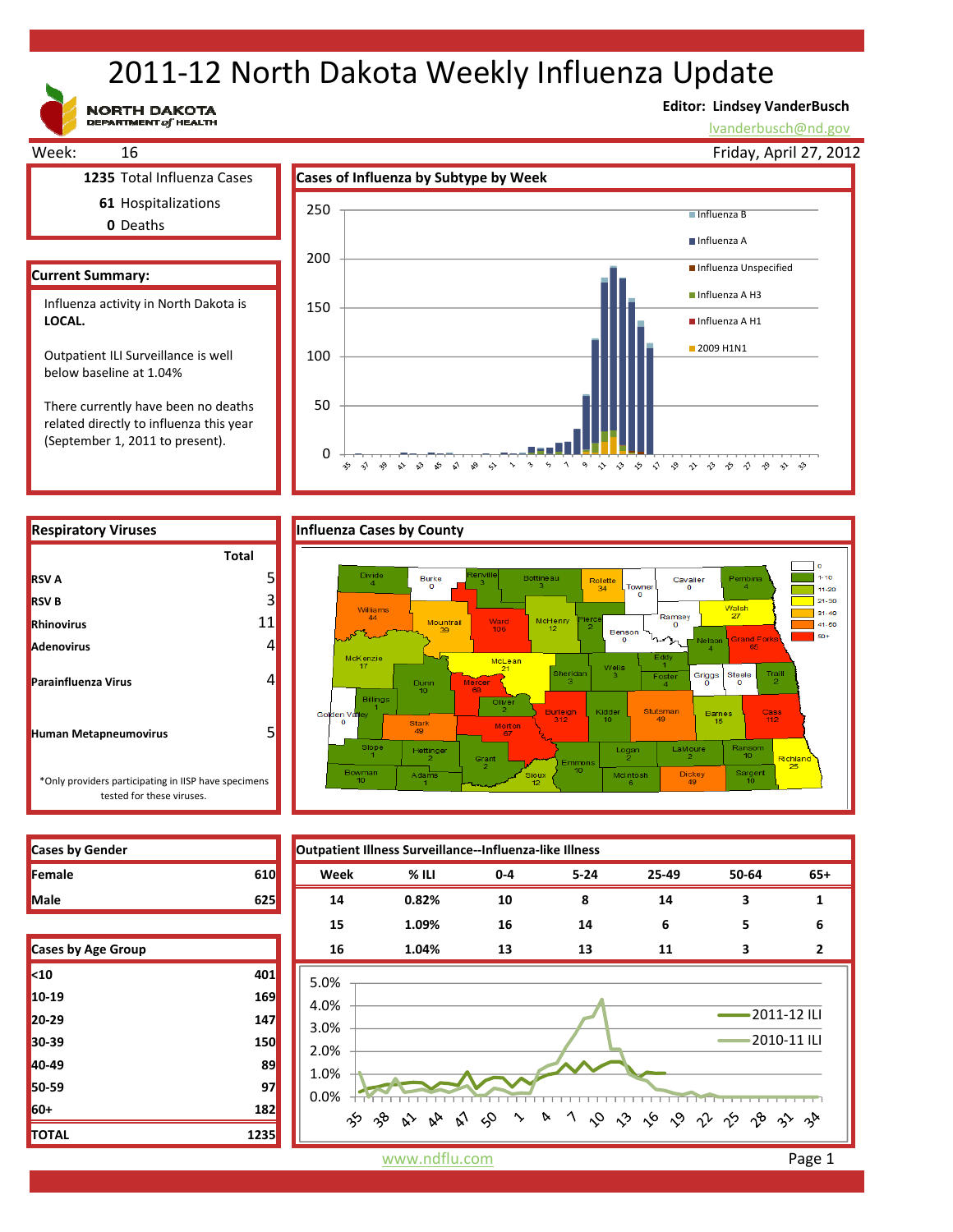# 2011‐12 North Dakota Weekly Influenza Update

**NORTH DAKOTA**<br>DEPARTMENT of HEALTH

### **Editor: Lindsey VanderBusch**

lvanderbusch@nd.gov



 $\overline{0}$ 

 $\hat{\mathbf{v}}$ 

 $\sim$  $\sim$ చి ళ √ ୢୄୄ ❖

☆

50

There currently have been no deaths related directly to influenza this year (September 1, 2011 to present).



 $\boldsymbol{\gamma}$ 

っ や や や や や や や や や や や

 $\ddot{\phantom{0}}$  $\varsigma_2$ 

| <b>RSV A</b>                                                                      |    |
|-----------------------------------------------------------------------------------|----|
| <b>RSV B</b>                                                                      | 3  |
| <b>Rhinovirus</b>                                                                 | 11 |
| <b>Adenovirus</b>                                                                 |    |
| <b>Parainfluenza Virus</b>                                                        |    |
| <b>Human Metapneumovirus</b>                                                      |    |
| *Only providers participating in IISP have specimens<br>tested for these viruses. |    |

**Cases by Gender Outpatient Illness Surveillance‐‐Influenza‐like Illness Female 610 Week % ILI 0‐4 5‐24 25‐49 50‐64 65+ Male 625 14 0.82% 10 8 14 3 1 15 1.09% 16 14 6 5 6 Cases by Age Group 16 1.04% 13 13 11 3 2** 5.0% 4.0% 2011‐12 ILI 3.0% 2010‐11 ILI 2.0% 1.0% 0.0% 1 0 0 6 0 1 1 2 3 3 က် ကို  $\hat{\mathbf{v}}$  $\sim$  $\sim$ D  $\approx$  $\gamma$ 

| Cases by Age Group |      |  |
|--------------------|------|--|
| $10$               | 401  |  |
| 10-19              | 169  |  |
| 20-29              | 147  |  |
| 30-39              | 150  |  |
| 40-49              | 89   |  |
| 50-59              | 97   |  |
| 60+                | 182  |  |
| <b>TOTAL</b>       | 1235 |  |

www.ndflu.com **Page 1**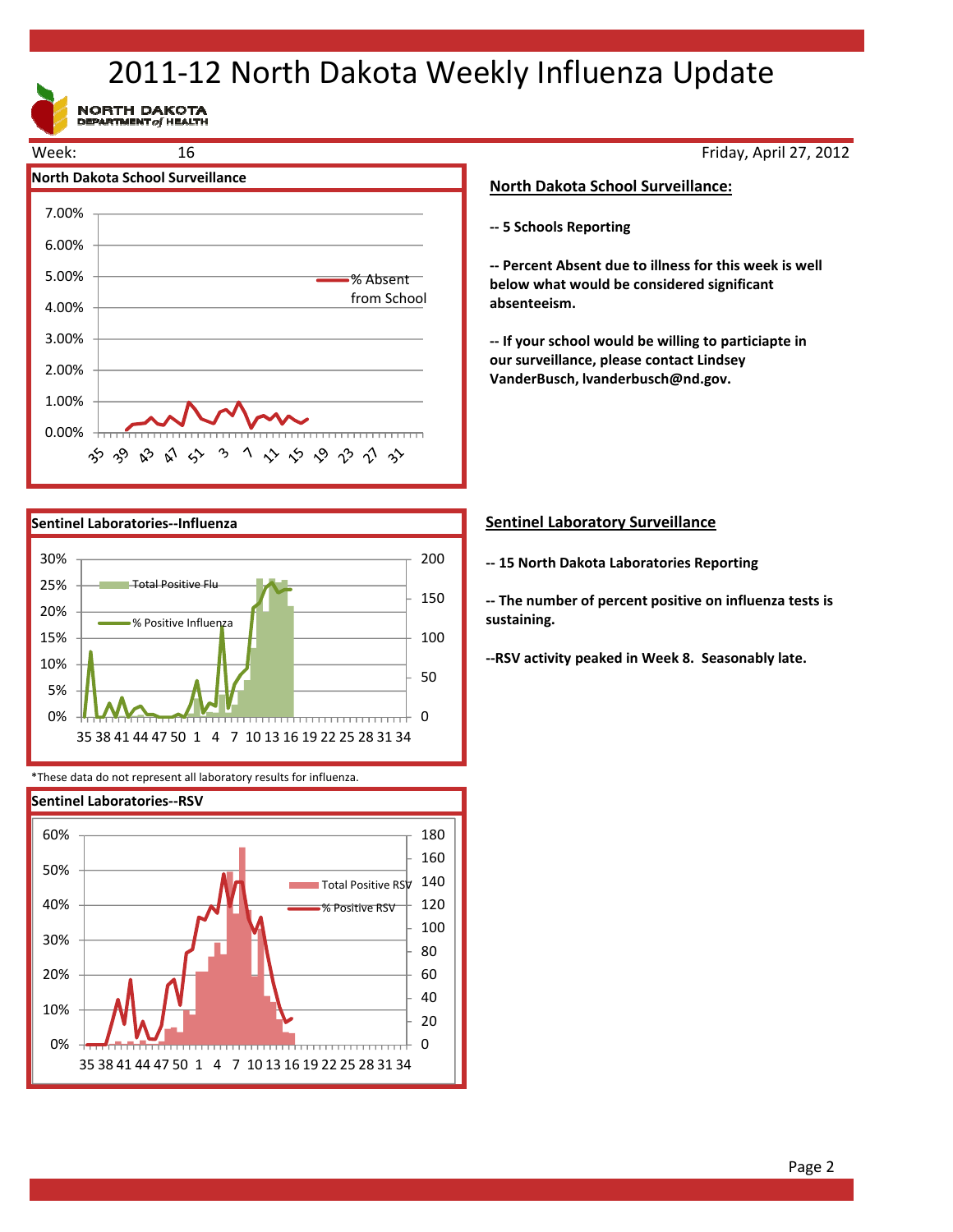## 2011‐12 North Dakota Weekly Influenza Update

NORTH DAKOTA





\*These data do not represent all laboratory results for influenza.



Friday, April 27, 2012

### **North Dakota School Surveillance:**

**‐‐ 5 Schools Reporting**

**‐‐ Percent Absent due to illness for this week is well below what would be considered significant absenteeism.**

**‐‐ If your school would be willing to particiapte in our surveillance, please contact Lindsey VanderBusch, lvanderbusch@nd.gov.**

### **Sentinel Laboratory Surveillance**

**‐‐ 15 North Dakota Laboratories Reporting**

**‐‐ The number of percent positive on influenza tests is sustaining.** 

**‐‐RSV activity peaked in Week 8. Seasonably late.**